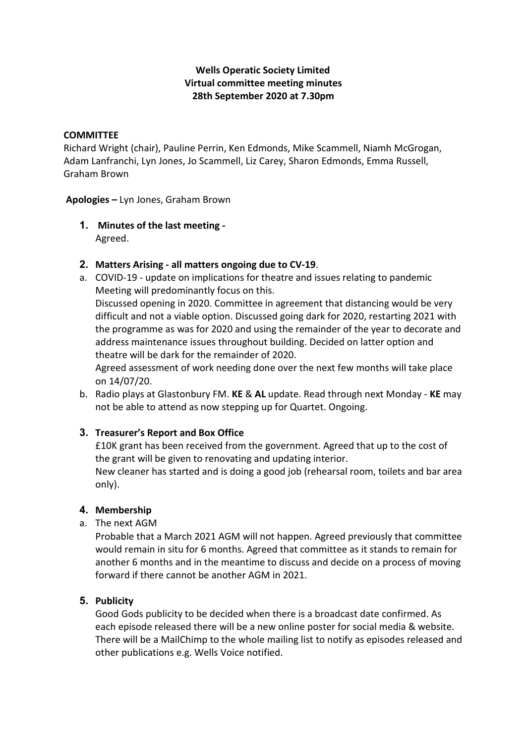# **Wells Operatic Society Limited Virtual committee meeting minutes 28th September 2020 at 7.30pm**

#### **COMMITTEE**

Richard Wright (chair), Pauline Perrin, Ken Edmonds, Mike Scammell, Niamh McGrogan, Adam Lanfranchi, Lyn Jones, Jo Scammell, Liz Carey, Sharon Edmonds, Emma Russell, Graham Brown

**Apologies –** Lyn Jones, Graham Brown

- **1. Minutes of the last meeting -** Agreed.
- **2. Matters Arising - all matters ongoing due to CV-19**.
- a. COVID-19 update on implications for theatre and issues relating to pandemic Meeting will predominantly focus on this. Discussed opening in 2020. Committee in agreement that distancing would be very difficult and not a viable option. Discussed going dark for 2020, restarting 2021 with

the programme as was for 2020 and using the remainder of the year to decorate and address maintenance issues throughout building. Decided on latter option and theatre will be dark for the remainder of 2020.

Agreed assessment of work needing done over the next few months will take place on 14/07/20.

b. Radio plays at Glastonbury FM. **KE** & **AL** update. Read through next Monday - **KE** may not be able to attend as now stepping up for Quartet. Ongoing.

### **3. Treasurer's Report and Box Office**

£10K grant has been received from the government. Agreed that up to the cost of the grant will be given to renovating and updating interior. New cleaner has started and is doing a good job (rehearsal room, toilets and bar area only).

### **4. Membership**

a. The next AGM

Probable that a March 2021 AGM will not happen. Agreed previously that committee would remain in situ for 6 months. Agreed that committee as it stands to remain for another 6 months and in the meantime to discuss and decide on a process of moving forward if there cannot be another AGM in 2021.

### **5. Publicity**

Good Gods publicity to be decided when there is a broadcast date confirmed. As each episode released there will be a new online poster for social media & website. There will be a MailChimp to the whole mailing list to notify as episodes released and other publications e.g. Wells Voice notified.